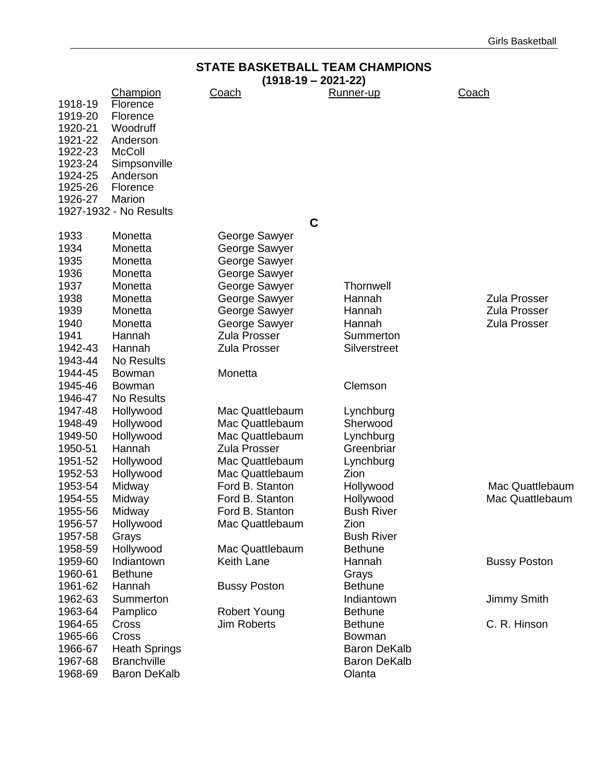|                                                                | <b>STATE BASKETBALL TEAM CHAMPIONS</b>                                                           |                                        |                     |                     |  |
|----------------------------------------------------------------|--------------------------------------------------------------------------------------------------|----------------------------------------|---------------------|---------------------|--|
|                                                                |                                                                                                  | $(1918-19 - 2021-22)$                  |                     |                     |  |
| 1918-19<br>1919-20<br>1920-21<br>1921-22<br>1922-23<br>1923-24 | <b>Champion</b><br>Florence<br>Florence<br>Woodruff<br>Anderson<br><b>McColl</b><br>Simpsonville | <u>Coach</u>                           | Runner-up           | Coach               |  |
| 1924-25                                                        | Anderson                                                                                         |                                        |                     |                     |  |
| 1925-26<br>1926-27                                             | Florence<br>Marion                                                                               |                                        |                     |                     |  |
|                                                                | 1927-1932 - No Results                                                                           |                                        |                     |                     |  |
|                                                                |                                                                                                  | $\mathbf C$                            |                     |                     |  |
| 1933                                                           | Monetta                                                                                          | George Sawyer                          |                     |                     |  |
| 1934                                                           | Monetta                                                                                          | George Sawyer                          |                     |                     |  |
| 1935                                                           | Monetta                                                                                          | George Sawyer                          |                     |                     |  |
| 1936                                                           | Monetta                                                                                          | George Sawyer                          |                     |                     |  |
| 1937                                                           | Monetta                                                                                          | George Sawyer                          | <b>Thornwell</b>    |                     |  |
| 1938                                                           | Monetta                                                                                          | George Sawyer                          | Hannah              | <b>Zula Prosser</b> |  |
| 1939                                                           | Monetta                                                                                          | George Sawyer                          | Hannah              | <b>Zula Prosser</b> |  |
| 1940                                                           | Monetta                                                                                          | George Sawyer                          | Hannah              | <b>Zula Prosser</b> |  |
| 1941                                                           | Hannah                                                                                           | <b>Zula Prosser</b>                    | Summerton           |                     |  |
| 1942-43                                                        | Hannah                                                                                           | <b>Zula Prosser</b>                    | Silverstreet        |                     |  |
| 1943-44                                                        | <b>No Results</b>                                                                                |                                        |                     |                     |  |
| 1944-45                                                        | <b>Bowman</b>                                                                                    | Monetta                                |                     |                     |  |
| 1945-46                                                        | <b>Bowman</b>                                                                                    |                                        | Clemson             |                     |  |
| 1946-47                                                        | No Results                                                                                       |                                        |                     |                     |  |
| 1947-48                                                        | Hollywood                                                                                        | Mac Quattlebaum                        | Lynchburg           |                     |  |
| 1948-49                                                        | Hollywood                                                                                        | Mac Quattlebaum                        | Sherwood            |                     |  |
| 1949-50                                                        | Hollywood                                                                                        | Mac Quattlebaum                        | Lynchburg           |                     |  |
| 1950-51<br>1951-52                                             | Hannah                                                                                           | <b>Zula Prosser</b><br>Mac Quattlebaum | Greenbriar          |                     |  |
| 1952-53                                                        | Hollywood<br>Hollywood                                                                           | Mac Quattlebaum                        | Lynchburg<br>Zion   |                     |  |
| 1953-54                                                        | Midway                                                                                           | Ford B. Stanton                        | Hollywood           | Mac Quattlebaum     |  |
| 1954-55                                                        | Midway                                                                                           | Ford B. Stanton                        | Hollywood           | Mac Quattlebaum     |  |
| 1955-56                                                        | Midway                                                                                           | Ford B. Stanton                        | <b>Bush River</b>   |                     |  |
| 1956-57                                                        | Hollywood                                                                                        | Mac Quattlebaum                        | Zion                |                     |  |
| 1957-58                                                        | Grays                                                                                            |                                        | <b>Bush River</b>   |                     |  |
| 1958-59                                                        | Hollywood                                                                                        | Mac Quattlebaum                        | <b>Bethune</b>      |                     |  |
| 1959-60                                                        | Indiantown                                                                                       | Keith Lane                             | Hannah              | <b>Bussy Poston</b> |  |
| 1960-61                                                        | <b>Bethune</b>                                                                                   |                                        | Grays               |                     |  |
| 1961-62                                                        | Hannah                                                                                           | <b>Bussy Poston</b>                    | <b>Bethune</b>      |                     |  |
| 1962-63                                                        | Summerton                                                                                        |                                        | Indiantown          | Jimmy Smith         |  |
| 1963-64                                                        | Pamplico                                                                                         | <b>Robert Young</b>                    | <b>Bethune</b>      |                     |  |
| 1964-65                                                        | Cross                                                                                            | <b>Jim Roberts</b>                     | <b>Bethune</b>      | C. R. Hinson        |  |
| 1965-66                                                        | Cross                                                                                            |                                        | Bowman              |                     |  |
| 1966-67                                                        | <b>Heath Springs</b>                                                                             |                                        | <b>Baron DeKalb</b> |                     |  |
| 1967-68                                                        | <b>Branchville</b>                                                                               |                                        | <b>Baron DeKalb</b> |                     |  |
| 1968-69                                                        | <b>Baron DeKalb</b>                                                                              |                                        | Olanta              |                     |  |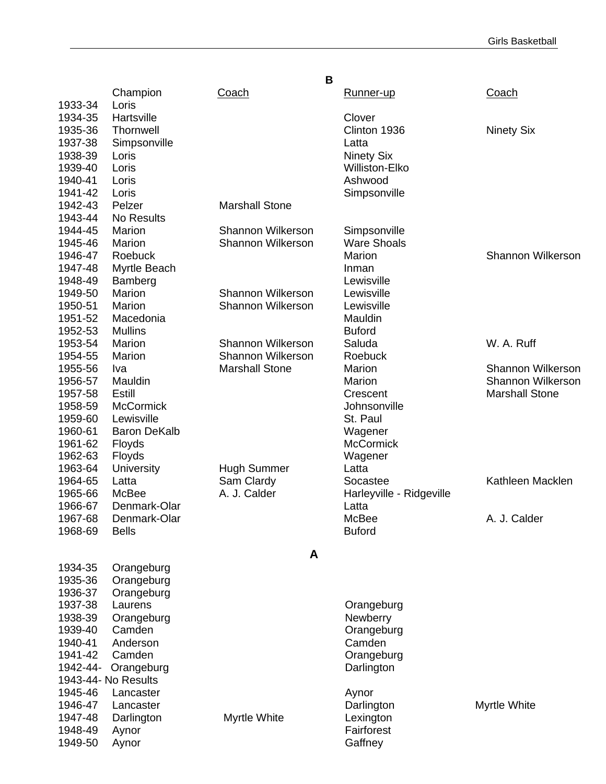|          |                     | B                        |                          |                          |
|----------|---------------------|--------------------------|--------------------------|--------------------------|
|          | Champion            | <b>Coach</b>             | Runner-up                | <u>Coach</u>             |
| 1933-34  | Loris               |                          |                          |                          |
| 1934-35  | Hartsville          |                          | Clover                   |                          |
| 1935-36  | Thornwell           |                          | Clinton 1936             | <b>Ninety Six</b>        |
| 1937-38  | Simpsonville        |                          | Latta                    |                          |
| 1938-39  | Loris               |                          | <b>Ninety Six</b>        |                          |
| 1939-40  | Loris               |                          | <b>Williston-Elko</b>    |                          |
| 1940-41  | Loris               |                          | Ashwood                  |                          |
| 1941-42  | Loris               |                          | Simpsonville             |                          |
| 1942-43  | Pelzer              | <b>Marshall Stone</b>    |                          |                          |
| 1943-44  | <b>No Results</b>   |                          |                          |                          |
| 1944-45  | Marion              | <b>Shannon Wilkerson</b> | Simpsonville             |                          |
| 1945-46  | Marion              | <b>Shannon Wilkerson</b> | <b>Ware Shoals</b>       |                          |
| 1946-47  | Roebuck             |                          | Marion                   | Shannon Wilkerson        |
| 1947-48  | Myrtle Beach        |                          | Inman                    |                          |
| 1948-49  | Bamberg             |                          | Lewisville               |                          |
| 1949-50  | Marion              | <b>Shannon Wilkerson</b> | Lewisville               |                          |
| 1950-51  | Marion              | <b>Shannon Wilkerson</b> | Lewisville               |                          |
| 1951-52  | Macedonia           |                          | Mauldin                  |                          |
| 1952-53  | <b>Mullins</b>      |                          | <b>Buford</b>            |                          |
| 1953-54  | Marion              | <b>Shannon Wilkerson</b> | Saluda                   | W. A. Ruff               |
| 1954-55  | Marion              | <b>Shannon Wilkerson</b> | Roebuck                  |                          |
| 1955-56  | Iva                 | <b>Marshall Stone</b>    | Marion                   | <b>Shannon Wilkerson</b> |
| 1956-57  | Mauldin             |                          | Marion                   | <b>Shannon Wilkerson</b> |
| 1957-58  | Estill              |                          | Crescent                 | <b>Marshall Stone</b>    |
| 1958-59  | <b>McCormick</b>    |                          | Johnsonville             |                          |
| 1959-60  | Lewisville          |                          | St. Paul                 |                          |
| 1960-61  | <b>Baron DeKalb</b> |                          | Wagener                  |                          |
| 1961-62  | <b>Floyds</b>       |                          | <b>McCormick</b>         |                          |
| 1962-63  | Floyds              |                          | Wagener                  |                          |
| 1963-64  | University          | <b>Hugh Summer</b>       | Latta                    |                          |
| 1964-65  | Latta               | Sam Clardy               | Socastee                 | Kathleen Macklen         |
| 1965-66  | McBee               | A. J. Calder             | Harleyville - Ridgeville |                          |
| 1966-67  | Denmark-Olar        |                          | Latta                    |                          |
| 1967-68  | Denmark-Olar        |                          | McBee                    | A. J. Calder             |
| 1968-69  | <b>Bells</b>        |                          | <b>Buford</b>            |                          |
|          |                     |                          |                          |                          |
|          |                     | A                        |                          |                          |
| 1934-35  | Orangeburg          |                          |                          |                          |
| 1935-36  | Orangeburg          |                          |                          |                          |
| 1936-37  | Orangeburg          |                          |                          |                          |
| 1937-38  | Laurens             |                          | Orangeburg               |                          |
| 1938-39  | Orangeburg          |                          | Newberry                 |                          |
| 1939-40  | Camden              |                          | Orangeburg               |                          |
| 1940-41  | Anderson            |                          | Camden                   |                          |
| 1941-42  | Camden              |                          | Orangeburg               |                          |
| 1942-44- | Orangeburg          |                          | Darlington               |                          |
|          | 1943-44- No Results |                          |                          |                          |
| 1945-46  | Lancaster           |                          | Aynor                    |                          |
| 1946-47  | Lancaster           |                          | Darlington               | Myrtle White             |
| 1947-48  | Darlington          | Myrtle White             | Lexington                |                          |
| 1948-49  | Aynor               |                          | Fairforest               |                          |
| 1949-50  | Aynor               |                          | Gaffney                  |                          |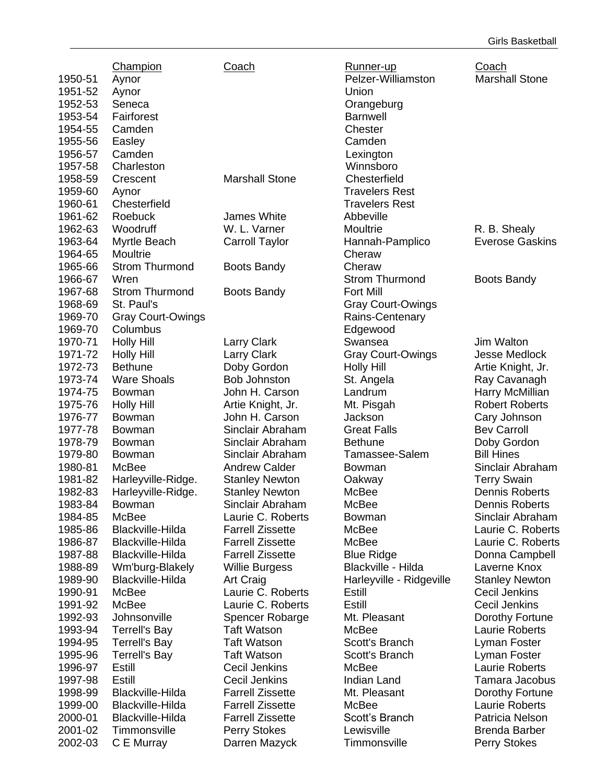|                    | Champion                 | Coach                   | Runner-up                | Coach                             |
|--------------------|--------------------------|-------------------------|--------------------------|-----------------------------------|
| 1950-51            |                          |                         | Pelzer-Williamston       | <b>Marshall Stone</b>             |
| 1951-52            | Aynor                    |                         | Union                    |                                   |
| 1952-53            | Aynor<br>Seneca          |                         |                          |                                   |
|                    |                          |                         | Orangeburg               |                                   |
| 1953-54            | Fairforest               |                         | <b>Barnwell</b>          |                                   |
| 1954-55            | Camden                   |                         | Chester                  |                                   |
| 1955-56            | Easley                   |                         | Camden                   |                                   |
| 1956-57            | Camden                   |                         | Lexington                |                                   |
| 1957-58            | Charleston               |                         | Winnsboro                |                                   |
| 1958-59            | Crescent                 | <b>Marshall Stone</b>   | Chesterfield             |                                   |
| 1959-60            | Aynor                    |                         | <b>Travelers Rest</b>    |                                   |
| 1960-61            | Chesterfield             |                         | <b>Travelers Rest</b>    |                                   |
| 1961-62            | Roebuck                  | James White             | Abbeville                |                                   |
| 1962-63            | Woodruff                 | W. L. Varner            | Moultrie                 | R. B. Shealy                      |
| 1963-64            | Myrtle Beach             | <b>Carroll Taylor</b>   | Hannah-Pamplico          | <b>Everose Gaskins</b>            |
| 1964-65            | Moultrie                 |                         | Cheraw                   |                                   |
| 1965-66            | <b>Strom Thurmond</b>    | <b>Boots Bandy</b>      | Cheraw                   |                                   |
| 1966-67            | Wren                     |                         | <b>Strom Thurmond</b>    | <b>Boots Bandy</b>                |
| 1967-68            | <b>Strom Thurmond</b>    | <b>Boots Bandy</b>      | <b>Fort Mill</b>         |                                   |
| 1968-69            | St. Paul's               |                         | <b>Gray Court-Owings</b> |                                   |
| 1969-70            | <b>Gray Court-Owings</b> |                         | Rains-Centenary          |                                   |
| 1969-70            | Columbus                 |                         | Edgewood                 |                                   |
| 1970-71            | <b>Holly Hill</b>        | <b>Larry Clark</b>      | Swansea                  | Jim Walton                        |
| 1971-72            | <b>Holly Hill</b>        | <b>Larry Clark</b>      | <b>Gray Court-Owings</b> | <b>Jesse Medlock</b>              |
| 1972-73            | <b>Bethune</b>           | Doby Gordon             | <b>Holly Hill</b>        | Artie Knight, Jr.                 |
| 1973-74            | <b>Ware Shoals</b>       | <b>Bob Johnston</b>     | St. Angela               | Ray Cavanagh                      |
| 1974-75            | <b>Bowman</b>            | John H. Carson          | Landrum                  | Harry McMillian                   |
| 1975-76            | <b>Holly Hill</b>        | Artie Knight, Jr.       | Mt. Pisgah               | <b>Robert Roberts</b>             |
| 1976-77            | Bowman                   | John H. Carson          | Jackson                  | Cary Johnson                      |
| 1977-78            | Bowman                   | Sinclair Abraham        | <b>Great Falls</b>       | <b>Bev Carroll</b>                |
| 1978-79            | Bowman                   | Sinclair Abraham        | <b>Bethune</b>           | Doby Gordon                       |
| 1979-80            | Bowman                   | Sinclair Abraham        | Tamassee-Salem           | <b>Bill Hines</b>                 |
| 1980-81            | McBee                    | <b>Andrew Calder</b>    | <b>Bowman</b>            | Sinclair Abraham                  |
| 1981-82            | Harleyville-Ridge.       | <b>Stanley Newton</b>   | Oakway                   | <b>Terry Swain</b>                |
| 1982-83            | Harleyville-Ridge.       | <b>Stanley Newton</b>   | <b>McBee</b>             | <b>Dennis Roberts</b>             |
| 1983-84            | Bowman                   | Sinclair Abraham        | McBee                    | Dennis Roberts                    |
| 1984-85            | McBee                    | Laurie C. Roberts       | <b>Bowman</b>            | Sinclair Abraham                  |
| 1985-86            | Blackville-Hilda         | <b>Farrell Zissette</b> | McBee                    | Laurie C. Roberts                 |
| 1986-87            | Blackville-Hilda         | <b>Farrell Zissette</b> | McBee                    | Laurie C. Roberts                 |
| 1987-88            | Blackville-Hilda         | <b>Farrell Zissette</b> | <b>Blue Ridge</b>        | Donna Campbell                    |
| 1988-89            | Wm'burg-Blakely          | <b>Willie Burgess</b>   | Blackville - Hilda       | Laverne Knox                      |
| 1989-90            | Blackville-Hilda         | Art Craig               | Harleyville - Ridgeville | <b>Stanley Newton</b>             |
| 1990-91            | McBee                    | Laurie C. Roberts       | Estill                   | Cecil Jenkins                     |
| 1991-92            | McBee                    | Laurie C. Roberts       | Estill                   | <b>Cecil Jenkins</b>              |
| 1992-93            | Johnsonville             | Spencer Robarge         | Mt. Pleasant             | Dorothy Fortune                   |
| 1993-94            | <b>Terrell's Bay</b>     | <b>Taft Watson</b>      | McBee                    | Laurie Roberts                    |
| 1994-95            | <b>Terrell's Bay</b>     | <b>Taft Watson</b>      | Scott's Branch           | Lyman Foster                      |
| 1995-96            | <b>Terrell's Bay</b>     | <b>Taft Watson</b>      | Scott's Branch           | Lyman Foster                      |
| 1996-97            | Estill                   | Cecil Jenkins           | McBee                    | <b>Laurie Roberts</b>             |
| 1997-98            | Estill                   | Cecil Jenkins           | <b>Indian Land</b>       | Tamara Jacobus                    |
| 1998-99            | Blackville-Hilda         | <b>Farrell Zissette</b> | Mt. Pleasant             |                                   |
|                    | Blackville-Hilda         | <b>Farrell Zissette</b> |                          | Dorothy Fortune<br>Laurie Roberts |
| 1999-00<br>2000-01 | Blackville-Hilda         | <b>Farrell Zissette</b> | McBee<br>Scott's Branch  | Patricia Nelson                   |
|                    |                          |                         |                          |                                   |
| 2001-02            | Timmonsville             | <b>Perry Stokes</b>     | Lewisville               | <b>Brenda Barber</b>              |
| 2002-03            | C E Murray               | Darren Mazyck           | Timmonsville             | Perry Stokes                      |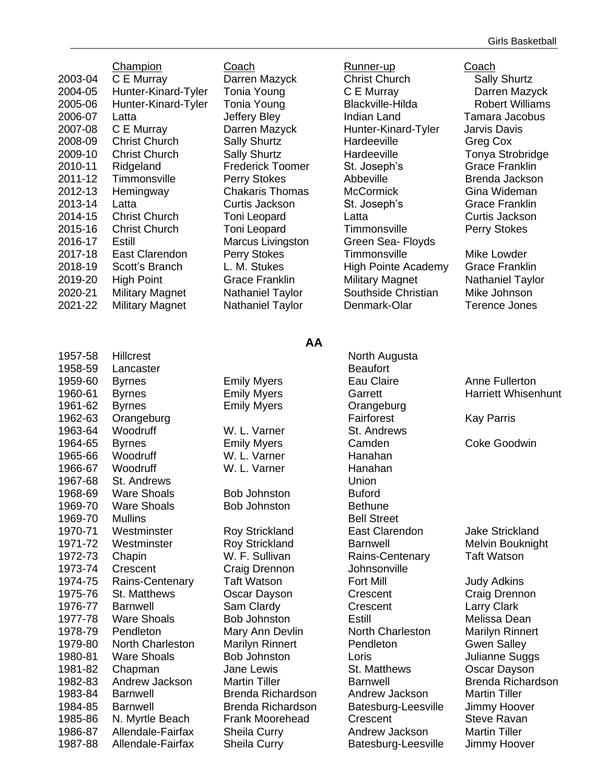|         | <u>Champion</u>        |
|---------|------------------------|
| 2003-04 | C E Murray             |
| 2004-05 | Hunter-Kinard-Tyler    |
| 2005-06 | Hunter-Kinard-Tyler    |
| 2006-07 | Latta                  |
| 2007-08 | C E Murray             |
| 2008-09 | <b>Christ Church</b>   |
| 2009-10 | Christ Church          |
| 2010-11 | Ridgeland              |
| 2011-12 | Timmonsville           |
| 2012-13 | Hemingway              |
| 2013-14 | Latta                  |
| 2014-15 | <b>Christ Church</b>   |
| 2015-16 | <b>Christ Church</b>   |
| 2016-17 | Estill                 |
| 2017-18 | East Clarendon         |
| 2018-19 | Scott's Branch         |
| 2019-20 | High Point             |
| 2020-21 | <b>Military Magnet</b> |
| 2021-22 | Military Magnet        |
|         |                        |

Coach Runner-up Coach

#### Darren Mazyck **Christ Church Changes** Sally Shurtz **2006-2004-05 Tonia Young C E Murray C E Murray Darren Mazyck 2006-2006-2006-006 Tonia Young Blackville-Hilda Robert Williams** 2006-07 Latta Jeffery Bley Indian Land Tamara Jacobus Darren Mazyck Hunter-Kinard-Tyler Jarvis Davis **2008** Sally Shurtz **Christ Chardeeville** Greg Cox 2009-10 Christ Church Sally Shurtz Hardeeville Tonya Strobridge Frederick Toomer St. Joseph's Grace Franklin Perry Stokes **2011** Abbeville Brenda Jackson 2012-13 Hemingway Chakaris Thomas McCormick Gina Wideman 2013-14 Latta Curtis Jackson St. Joseph's Grace Franklin 2014-15 Christ Church Toni Leopard Latta Curtis Jackson 2015-16 Christ Church Toni Leopard Timmonsville Perry Stokes Marcus Livingston Green Sea- Floyds Perry Stokes Timmonsville Mike Lowder L. M. Stukes **High Pointe Academy** Grace Franklin **2019-2019** Grace Franklin Military Magnet Nathaniel Taylor Nathaniel Taylor Southside Christian Mike Johnson Nathaniel Taylor Denmark-Olar Terence Jones

1957-58 Hillcrest **North Augusta** North Augusta 1958-59 Lancaster **Beaufort** 1959-60 Byrnes Emily Myers Eau Claire Anne Fullerton 1960-61 Byrnes **Emily Myers** Garrett Harriett Whisenhunt 1961-62 Byrnes Emily Myers Orangeburg 1962-63 Orangeburg **Fairforest** Kay Parris 1963-64 Woodruff M. L. Varner St. Andrews 1964-65 Byrnes Emily Myers Camden Coke Goodwin 1965-66 Woodruff W. L. Varner Hanahan 1966-67 Woodruff W. L. Varner Hanahan 1967-68 St. Andrews Union 1968-69 Ware Shoals Bob Johnston Buford 1969-70 Ware Shoals Bob Johnston Bethune 1969-70 Mullins **Bell Street** 1970-71 Westminster Roy Strickland East Clarendon Jake Strickland 1971-72 Westminster **Roy Strickland** Barnwell **Barnwell** Melvin Bouknight 1972-73 Chapin M. F. Sullivan Rains-Centenary Taft Watson 1973-74 Crescent Craig Drennon Johnsonville 1974-75 Rains-Centenary Taft Watson **Fort Mill** Fort Mill Judy Adkins 1975-76 St. Matthews Oscar Dayson Crescent Craig Drennon 1976-77 Barnwell Sam Clardy Crescent Larry Clark 1977-78 Ware Shoals Bob Johnston Bushill Estill Melissa Dean 1978-79 Pendleton Mary Ann Devlin North Charleston Marilyn Rinnert 1979-80 North Charleston Marilyn Rinnert Pendleton Gwen Salley 1980-81 Ware Shoals Bob Johnston Loris Loris Julianne Suggs 1981-82 Chapman Jane Lewis St. Matthews Oscar Dayson 1982-83 Andrew Jackson Martin Tiller Barnwell Brenda Richardson 1983-84 Barnwell Brenda Richardson Andrew Jackson Martin Tiller 1984-85 Barnwell Brenda Richardson Batesburg-Leesville Jimmy Hoover 1985-86 N. Myrtle Beach Frank Moorehead Crescent Steve Ravan 1986-87 Allendale-Fairfax Sheila Curry Andrew Jackson Martin Tiller

**AA**

1987-88 Allendale-Fairfax Sheila Curry Batesburg-Leesville Jimmy Hoover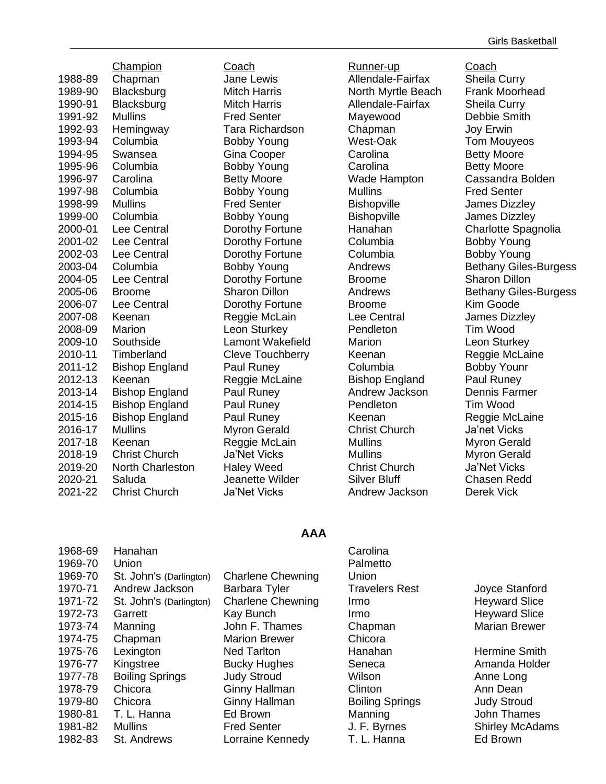1988-89 Chapman Jane Lewis Allendale-Fairfax Sheila Curry 1989-90 Blacksburg Mitch Harris North Myrtle Beach Frank Moorhead 1990-91 Blacksburg Mitch Harris Allendale-Fairfax Sheila Curry 1991-92 Mullins Fred Senter Mayewood Debbie Smith 1992-93 Hemingway Tara Richardson Chapman Joy Erwin 1993-94 Columbia Bobby Young West-Oak Tom Mouyeos 1994-95 Swansea Gina Cooper Carolina Betty Moore 1995-96 Columbia Bobby Young Carolina Betty Moore 1996-97 Carolina Betty Moore Wade Hampton Cassandra Bolden<br>1997-98 Columbia Bobby Young Mullins Fred Senter 1997-98 Columbia Bobby Young Mullins Fred Senter 1998-99 Mullins Fred Senter Bishopville James Dizzley 1999-00 Columbia Bobby Young Bishopville James Dizzley 2000-01 Lee Central Dorothy Fortune Hanahan Charlotte Spagnolia 2001-02 Lee Central Dorothy Fortune Columbia Bobby Young 2002-03 Lee Central Dorothy Fortune Columbia Bobby Young 2003-04 Columbia Bobby Young Andrews Bethany Giles-Burgess 2004-05 Lee Central Dorothy Fortune Broome Sharon Dillon 2005-06 Broome Sharon Dillon Andrews Bethany Giles-Burgess 2006-07 Lee Central Dorothy Fortune Broome Kim Goode 2007-08 Keenan Reggie McLain Lee Central James Dizzley 2008-09 Marion Leon Sturkey Pendleton Tim Wood 2009-10 Southside Lamont Wakefield Marion Leon Sturkey 2010-11 Timberland Cleve Touchberry Keenan Reggie McLaine 2011-12 Bishop England Paul Runey Columbia Bobby Younr 2012-13 Keenan Reggie McLaine Bishop England Paul Runey 2013-14 Bishop England Paul Runey Andrew Jackson Dennis Farmer 2014-15 Bishop England Paul Runey Pendleton Tim Wood 2015-16 Bishop England Paul Runey Keenan Reggie McLaine 2016-17 Mullins Myron Gerald Christ Church Ja'net Vicks 2017-18 Keenan Reggie McLain Mullins Myron Gerald 2018-19 Christ Church Ja'Net Vicks Mullins Mullins Myron Gerald 2019-20 North Charleston Haley Weed Christ Church Ja'Net Vicks 2020-21 Saluda Jeanette Wilder Silver Bluff Chasen Redd 2021-22 Christ Church Ja'Net Vicks Andrew Jackson Derek Vick

Champion Coach Runner-up Coach

#### **AAA**

| Joyce Stan        |
|-------------------|
|                   |
|                   |
|                   |
| <b>Heyward S</b>  |
| <b>Heyward S</b>  |
| <b>Marian Bre</b> |
|                   |
| Hermine S         |
| Amanda H          |
| Anne Long         |
| Ann Dean          |
| <b>Judy Strou</b> |
| John Tham         |
| Shirley Mc        |
| Ed Brown          |
|                   |

Joyce Stanford Heyward Slice Heyward Slice Marian Brewer

Hermine Smith Amanda Holder Judy Stroud John Thames Shirley McAdams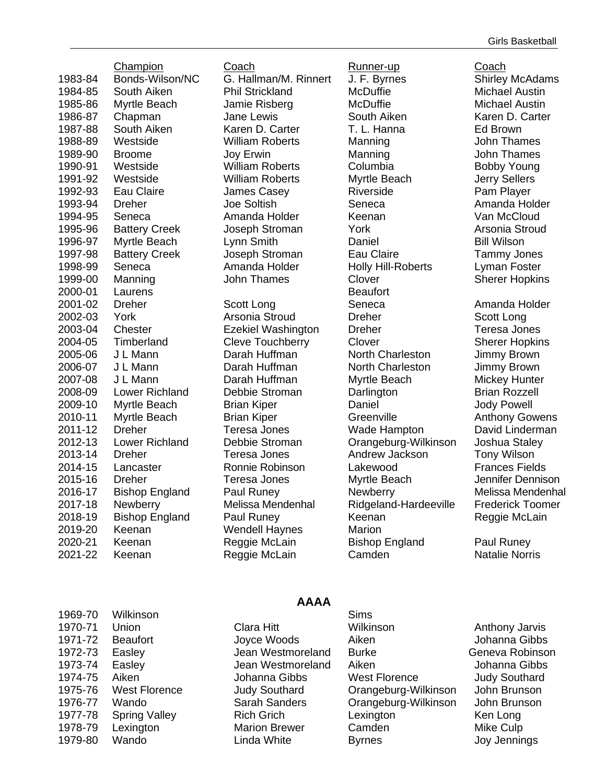|         | <b>Champion</b>       |
|---------|-----------------------|
| 1983-84 | Bonds-Wilson/N        |
| 1984-85 | South Aiken           |
| 1985-86 | Myrtle Beach          |
| 1986-87 | Chapman               |
| 1987-88 | South Aiken           |
| 1988-89 | Westside              |
| 1989-90 | Broome                |
| 1990-91 | Westside              |
| 1991-92 | Westside              |
| 1992-93 | Eau Claire            |
| 1993-94 | Dreher                |
| 1994-95 | Seneca                |
| 1995-96 | <b>Battery Creek</b>  |
| 1996-97 | Myrtle Beach          |
| 1997-98 | <b>Battery Creek</b>  |
| 1998-99 | Seneca                |
| 1999-00 | Manning               |
| 2000-01 | Laurens               |
| 2001-02 | Dreher                |
| 2002-03 | York                  |
| 2003-04 | <b>Chester</b>        |
| 2004-05 | Timberland            |
| 2005-06 | J L Mann              |
| 2006-07 | J L Mann              |
| 2007-08 | J L Mann              |
| 2008-09 | Lower Richland        |
| 2009-10 | Myrtle Beach          |
| 2010-11 | Myrtle Beach          |
| 2011-12 | Dreher                |
| 2012-13 | Lower Richland        |
| 2013-14 | Dreher                |
| 2014-15 | Lancaster             |
| 2015-16 | Dreher                |
| 2016-17 | <b>Bishop England</b> |
| 2017-18 | Newberry              |
| 2018-19 | <b>Bishop England</b> |
| 2019-20 | Keenan<br>Keenan      |
| 2020-21 |                       |
| 2021-22 | Keenan                |

<u>Coach</u> و <u>Runner-up</u><br>Champion Coach (Coach U.F. Byrnes<br>Shirley Shirley Wendell Haynes Marion

G. Hallman/M. Rinnert J. F. Byrnes Shirley McAdams Phil Strickland McDuffie Michael Austin Jamie Risberg McDuffie Michael Austin **1986** Jane Lewis **Couth Aiken** Karen D. Carter 1987-88 South Aiken Karen D. Carter T. L. Hanna Ed Brown William Roberts Manning John Thames 1989-90 Broome Joy Erwin Manning John Thames William Roberts Columbia Bobby Young William Roberts Myrtle Beach Jerry Sellers James Casey **Riverside Pam Player** Pam Player 1993-94 Dreher Joe Soltish Seneca Amanda Holder 1994-95 Seneca Amanda Holder Keenan Van McCloud 1995-96 Battery Creek Joseph Stroman York Arsonia Stroud Lynn Smith **Daniel** Daniel Bill Wilson Joseph Stroman Eau Claire Tammy Jones Amanda Holder **Holly Hill-Roberts** Lyman Foster **1999-1999-00 Manning Clover** Sherer Hopkins **Beaufort 2001** Seneca Amanda Holder Seneca Arsonia Stroud **Dreher Dreher** Scott Long Ezekiel Washington Dreher Teresa Jones **2004** Cleve Touchberry Clover Sherer Hopkins Darah Huffman **North Charleston** Jimmy Brown Darah Huffman **North Charleston** Jimmy Brown Darah Huffman Myrtle Beach Mickey Hunter Debbie Stroman Darlington Brian Rozzell 2009-10 Myrtle Beach Brian Kiper Daniel Jody Powell **2010**-11 Myrtle Brian Kiper Greenville Anthony Gowens 2011-12 Dreher Teresa Jones Wade Hampton David Linderman Debbie Stroman Orangeburg-Wilkinson Joshua Staley 2013-14 Dreher Teresa Jones Andrew Jackson Tony Wilson 2014-15 Lancaster Ronnie Robinson Lakewood Frances Fields 2015-16 Dreher Teresa Jones Myrtle Beach Jennifer Dennison Paul Runey **Newberry** Newberry Melissa Mendenhal Melissa Mendenhal Ridgeland-Hardeeville Frederick Toomer Paul Runey **2018** Keenan Reggie McLain Reggie McLain Bishop England Paul Runey Reggie McLain Camden Natalie Norris

| 1969-70 | Wilkinson            |                      | <b>Sims</b>          |                 |
|---------|----------------------|----------------------|----------------------|-----------------|
| 1970-71 | Union                | <b>Clara Hitt</b>    | Wilkinson            | Anthony J       |
| 1971-72 | <b>Beaufort</b>      | Joyce Woods          | Aiken                | Johanna         |
| 1972-73 | Easley               | Jean Westmoreland    | <b>Burke</b>         | Geneva Ro       |
| 1973-74 | Easley               | Jean Westmoreland    | Aiken                | Johanna         |
| 1974-75 | Aiken                | Johanna Gibbs        | <b>West Florence</b> | <b>Judy Sou</b> |
| 1975-76 | <b>West Florence</b> | <b>Judy Southard</b> | Orangeburg-Wilkinson | John Brur       |
| 1976-77 | Wando                | Sarah Sanders        | Orangeburg-Wilkinson | John Brur       |
| 1977-78 | <b>Spring Valley</b> | <b>Rich Grich</b>    | Lexington            | Ken Long        |
| 1978-79 | Lexington            | <b>Marion Brewer</b> | Camden               | Mike Culp       |
| 1979-80 | Wando                | Linda White          | <b>Byrnes</b>        | Joy Jenni       |
|         |                      |                      |                      |                 |

#### **AAAA**

**Clara Hitt 1970-11 Wilkinson** Millen Anthony Jarvis 1971-72 Beaufort Joyce Woods Aiken Johanna Gibbs Jean Westmoreland Burke Geneva Robinson 1973-74 Easley Jean Westmoreland Aiken Johanna Gibbs Johanna Gibbs West Florence Judy Southard 1975-1976 Judy Southard Crangeburg-Wilkinson John Brunson Sarah Sanders **Orangeburg-Wilkinson** John Brunson **Marion Brewer Camden Mike Culp** Linda White **1979-80 Byrnes** 1979-90 Joy Jennings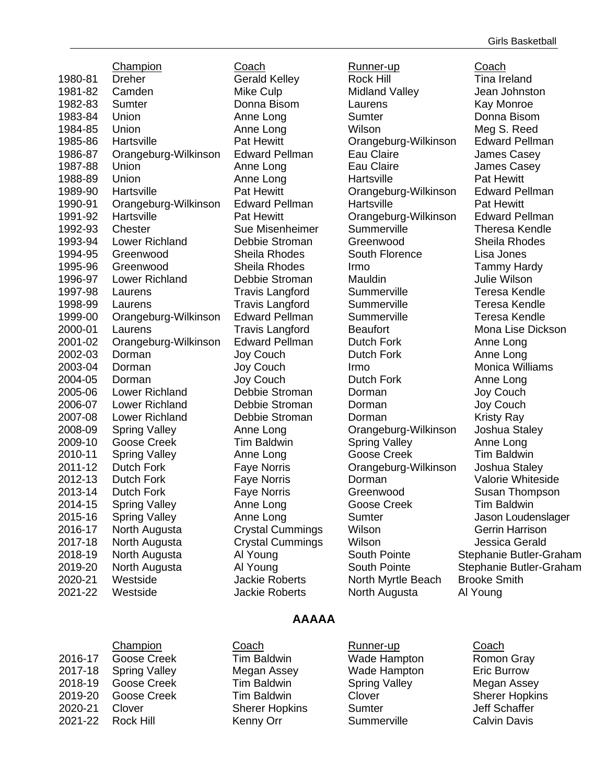1980-81 Dreher Gerald Kelley Rock Hill **Tina Ireland** 1981-82 Camden Mike Culp Midland Valley Jean Johnston 1982-83 Sumter Donna Bisom Laurens Kay Monroe 1983-84 Union Anne Long Sumter Donna Bisom 1984-85 Union Anne Long Wilson Meg S. Reed 1985-86 Hartsville Pat Hewitt Orangeburg-Wilkinson Edward Pellman 1986-87 Orangeburg-Wilkinson Edward Pellman Eau Claire James Casey 1987-88 Union Anne Long Eau Claire James Casey 1988-89 Union **Anne Long** Hartsville **Pat Hewitt** 1989-90 Hartsville Pat Hewitt Orangeburg-Wilkinson Edward Pellman 1990-91 Orangeburg-Wilkinson Edward Pellman Hartsville **Pat Hewitt** 1991-92 Hartsville Pat Hewitt Orangeburg-Wilkinson Edward Pellman 1992-93 Chester Sue Misenheimer Summerville Theresa Kendle 1993-94 Lower Richland Debbie Stroman Greenwood Sheila Rhodes 1994-95 Greenwood Sheila Rhodes South Florence Lisa Jones 1995-96 Greenwood Sheila Rhodes Irmo Tammy Hardy 1996-97 Lower Richland Debbie Stroman Mauldin Julie Wilson 1997-98 Laurens Travis Langford Summerville Teresa Kendle 1998-99 Laurens Travis Langford Summerville Teresa Kendle 1999-00 Orangeburg-Wilkinson Edward Pellman Summerville Teresa Kendle 2000-01 Laurens Travis Langford Beaufort Mona Lise Dickson 2001-02 Orangeburg-Wilkinson Edward Pellman Dutch Fork Anne Long 2002-03 Dorman Joy Couch Dutch Fork Anne Long 2003-04 Dorman Joy Couch Irmo Monica Williams 2004-05 Dorman Joy Couch Dutch Fork Anne Long 2005-06 Lower Richland Debbie Stroman Dorman Joy Couch 2006-07 Lower Richland Debbie Stroman Dorman Joy Couch 2007-08 Lower Richland Debbie Stroman Dorman Kristy Ray 2008-09 Spring Valley **Anne Long Cangeburg-Wilkinson** Joshua Staley 2009-10 Goose Creek Tim Baldwin Spring Valley Anne Long 2010-11 Spring Valley Anne Long Goose Creek Tim Baldwin 2011-12 Dutch Fork Faye Norris Orangeburg-Wilkinson Joshua Staley 2012-13 Dutch Fork Faye Norris Dorman Valorie Whiteside 2013-14 Dutch Fork Faye Norris Greenwood Susan Thompson 2014-15 Spring Valley **Anne Long Coose Creek** Tim Baldwin 2015-16 Spring Valley **Anne Long Sumter Sumter** Jason Loudenslager 2016-17 North Augusta Crystal Cummings Wilson Gerrin Harrison 2017-18 North Augusta Crystal Cummings Wilson Jessica Gerald 2018-19 North Augusta **Al Young** South Pointe Stephanie Butler-Graham 2019-20 North Augusta Al Young South Pointe Stephanie Butler-Graham 2020-21 Westside Jackie Roberts North Myrtle Beach Brooke Smith 2021-22 Westside Jackie Roberts North Augusta Al Young

Champion Coach Coach Runner-up Coach

#### Girls Basketball

#### **AAAAA**

|         | Champion             | Coach                 | Runner-up            | Coach               |
|---------|----------------------|-----------------------|----------------------|---------------------|
| 2016-17 | Goose Creek          | <b>Tim Baldwin</b>    | Wade Hampton         | Romon Gray          |
| 2017-18 | <b>Spring Valley</b> | Megan Assey           | Wade Hampton         | Eric Burrow         |
| 2018-19 | Goose Creek          | <b>Tim Baldwin</b>    | <b>Spring Valley</b> | Megan Asse          |
| 2019-20 | Goose Creek          | <b>Tim Baldwin</b>    | Clover               | <b>Sherer Hopk</b>  |
| 2020-21 | Clover               | <b>Sherer Hopkins</b> | Sumter               | Jeff Schaffer       |
| 2021-22 | <b>Rock Hill</b>     | Kenny Orr             | Summerville          | <b>Calvin Davis</b> |

Coach Runner-up Coach 2016-17 Goose Creek Tim Baldwin Wade Hampton Romon Gray Megan Assey **2017-18 Wade Hampton** Eric Burrow Tim Baldwin **2018-19 Spring Valley Creek Assey** Megan Assey **2019** Tim Baldwin Clover Sherer Hopkins **2020-21 Sherer Hopkins Sumter Sumter Sherer Hopkins**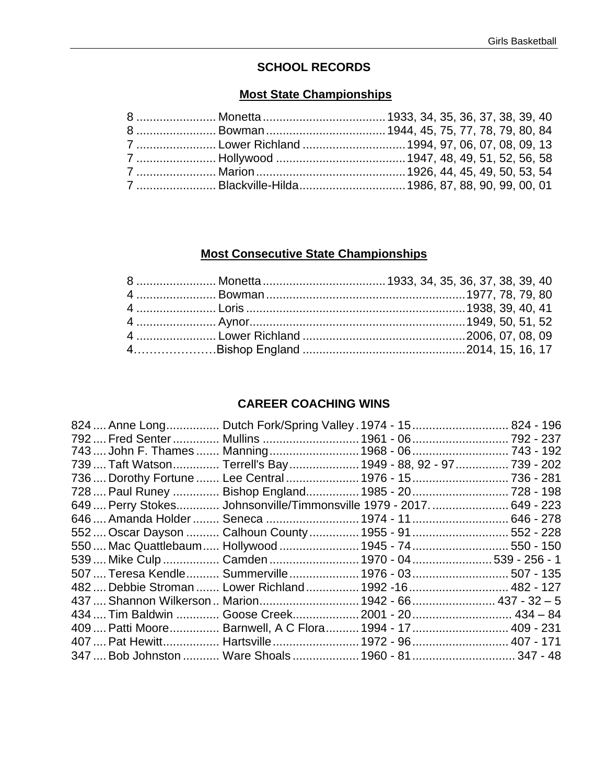## **SCHOOL RECORDS**

## **Most State Championships**

# **Most Consecutive State Championships**

## **CAREER COACHING WINS**

| 824  Anne Long Dutch Fork/Spring Valley . 1974 - 15 824 - 196       |  |  |
|---------------------------------------------------------------------|--|--|
| 792  Fred Senter  Mullins  1961 - 06  792 - 237                     |  |  |
| 743  John F. Thames  Manning  1968 - 06  743 - 192                  |  |  |
| 739  Taft Watson Terrell's Bay 1949 - 88, 92 - 97 739 - 202         |  |  |
| 736  Dorothy Fortune  Lee Central  1976 - 15  736 - 281             |  |  |
| 728  Paul Runey  Bishop England 1985 - 20  728 - 198                |  |  |
| 649  Perry Stokes Johnsonville/Timmonsville 1979 - 2017.  649 - 223 |  |  |
| 646  Amanda Holder  Seneca  1974 - 11  646 - 278                    |  |  |
| 552  Oscar Dayson  Calhoun County  1955 - 91  552 - 228             |  |  |
| 550  Mac Quattlebaum  Hollywood  1945 - 74  550 - 150               |  |  |
| 539  Mike Culp  Camden  1970 - 04  539 - 256 - 1                    |  |  |
| 507  Teresa Kendle Summerville 1976 - 03 507 - 135                  |  |  |
| 482  Debbie Stroman  Lower Richland  1992 -16  482 - 127            |  |  |
| 437  Shannon Wilkerson  Marion  1942 - 66  437 - 32 - 5             |  |  |
| 434  Tim Baldwin  Goose Creek 2001 - 20  434 - 84                   |  |  |
| 409  Patti Moore  Barnwell, A C Flora  1994 - 17  409 - 231         |  |  |
| 407  Pat Hewitt Hartsville 1972 - 96 407 - 171                      |  |  |
| 347  Bob Johnston  Ware Shoals  1960 - 81  347 - 48                 |  |  |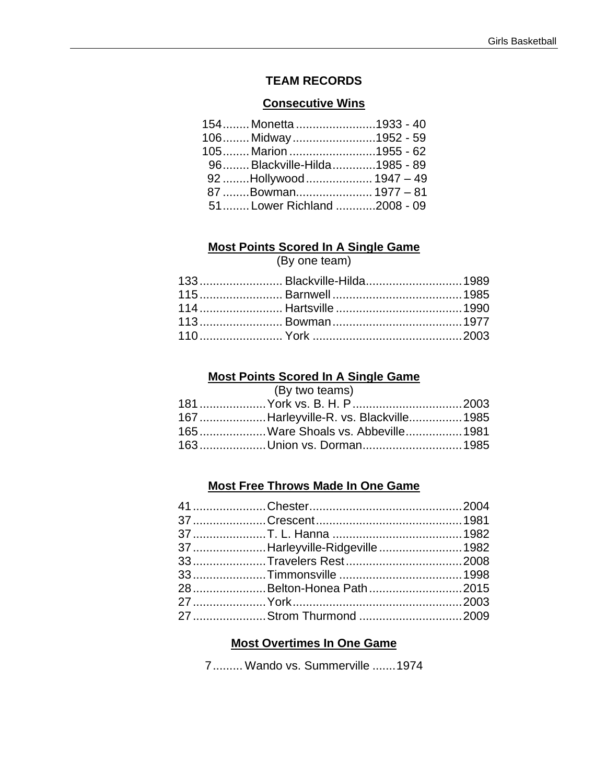## **TEAM RECORDS**

#### **Consecutive Wins**

| 154 Monetta 1933 - 40       |  |
|-----------------------------|--|
| 106 Midway1952 - 59         |  |
| 105 Marion 1955 - 62        |  |
| 96Blackville-Hilda1985 - 89 |  |
| 92 Hollywood  1947 - 49     |  |
| 87 Bowman 1977 - 81         |  |
| 51Lower Richland 2008 - 09  |  |

## **Most Points Scored In A Single Game**

(By one team)

|  | 133 Blackville-Hilda 1989 |
|--|---------------------------|
|  |                           |
|  |                           |
|  |                           |
|  |                           |

## **Most Points Scored In A Single Game**

|  |  | (By two teams) |  |
|--|--|----------------|--|
|--|--|----------------|--|

| 167 Harleyville-R. vs. Blackville 1985 |  |
|----------------------------------------|--|
| 165  Ware Shoals vs. Abbeville 1981    |  |
|                                        |  |

## **Most Free Throws Made In One Game**

| 37 Harleyville-Ridgeville 1982 |  |
|--------------------------------|--|
|                                |  |
|                                |  |
| 28Belton-Honea Path2015        |  |
|                                |  |
|                                |  |

#### **Most Overtimes In One Game**

7......... Wando vs. Summerville .......1974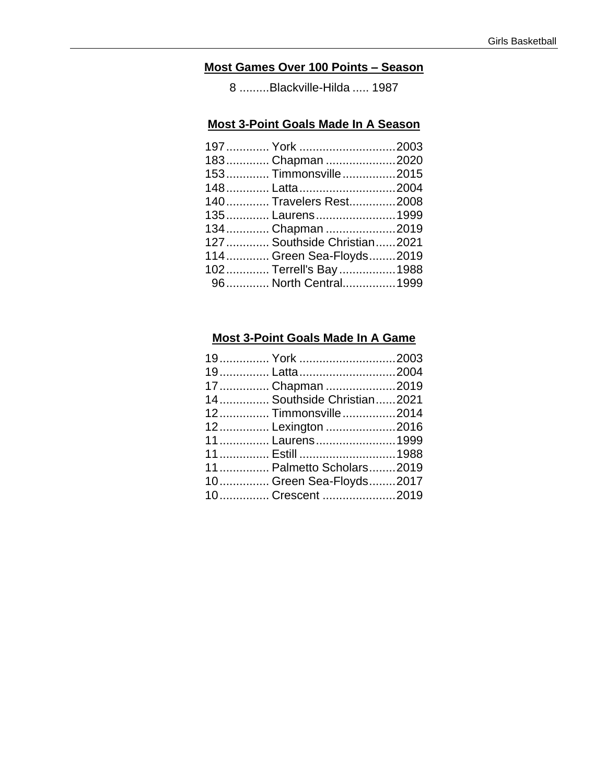# **Most Games Over 100 Points – Season**

8 .........Blackville-Hilda ..... 1987

#### **Most 3-Point Goals Made In A Season**

| 197  York 2003               |  |
|------------------------------|--|
| 183 Chapman 2020             |  |
| 153 Timmonsville2015         |  |
|                              |  |
| 140 Travelers Rest2008       |  |
| 135 Laurens 1999             |  |
| 134 Chapman 2019             |  |
| 127  Southside Christian2021 |  |
| 114 Green Sea-Floyds2019     |  |
| 102 Terrell's Bay1988        |  |
| 96 North Central1999         |  |
|                              |  |

#### **Most 3-Point Goals Made In A Game**

| 19 York 2003               |  |
|----------------------------|--|
|                            |  |
| 17 Chapman 2019            |  |
| 14 Southside Christian2021 |  |
| 12 Timmonsville2014        |  |
| 12 Lexington 2016          |  |
| 11 Laurens 1999            |  |
|                            |  |
| 11 Palmetto Scholars2019   |  |
| 10 Green Sea-Floyds2017    |  |
| 10 Crescent 2019           |  |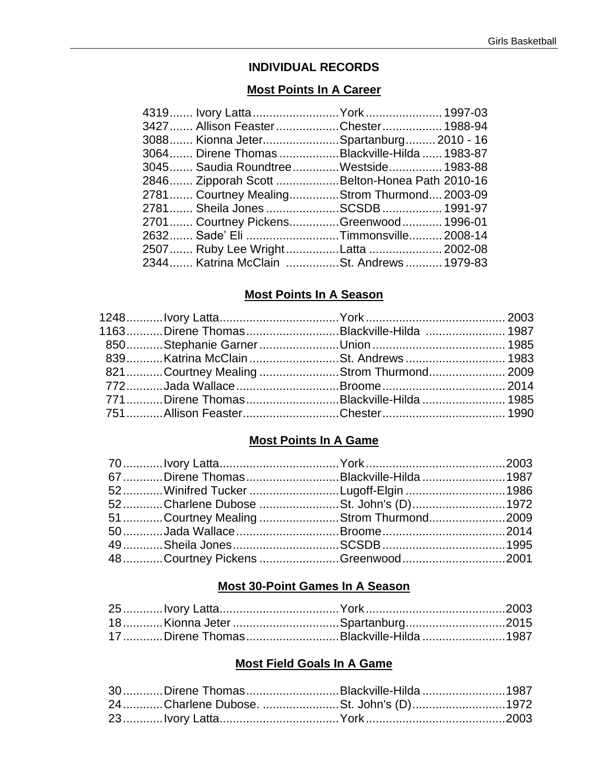## **INDIVIDUAL RECORDS**

#### **Most Points In A Career**

| 4319 Ivory Latta York  1997-03                |  |
|-----------------------------------------------|--|
| 3427 Allison FeasterChester 1988-94           |  |
| 3088 Kionna JeterSpartanburg 2010 - 16        |  |
| 3064 Direne Thomas Blackville-Hilda  1983-87  |  |
| 3045 Saudia RoundtreeWestside 1983-88         |  |
| 2846 Zipporah Scott Belton-Honea Path 2010-16 |  |
| 2781 Courtney MealingStrom Thurmond 2003-09   |  |
| 2781 Sheila Jones SCSDB  1991-97              |  |
| 2701 Courtney PickensGreenwood 1996-01        |  |
| 2632 Sade' Eli Timmonsville 2008-14           |  |
|                                               |  |
| 2344 Katrina McClain St. Andrews 1979-83      |  |

#### **Most Points In A Season**

| 1163Direne ThomasBlackville-Hilda  1987 |  |
|-----------------------------------------|--|
|                                         |  |
| 839Katrina McClain St. Andrews  1983    |  |
| 821Courtney Mealing Strom Thurmond 2009 |  |
|                                         |  |
| 771Direne ThomasBlackville-Hilda  1985  |  |
|                                         |  |
|                                         |  |

## **Most Points In A Game**

| 67 Direne Thomas Blackville-Hilda  1987 |  |
|-----------------------------------------|--|
| 52Winifred Tucker Lugoff-Elgin 1986     |  |
| 52Charlene Dubose St. John's (D)1972    |  |
| 51Courtney Mealing Strom Thurmond2009   |  |
|                                         |  |
|                                         |  |
| 48 Courtney Pickens Greenwood 2001      |  |

## **Most 30-Point Games In A Season**

| 18Kionna Jeter Spartanburg2015         |  |
|----------------------------------------|--|
| 17 Direne Thomas Blackville-Hilda 1987 |  |

## **Most Field Goals In A Game**

| 30 Direne Thomas Blackville-Hilda 1987 |  |
|----------------------------------------|--|
| 24 Charlene Dubose. St. John's (D)1972 |  |
|                                        |  |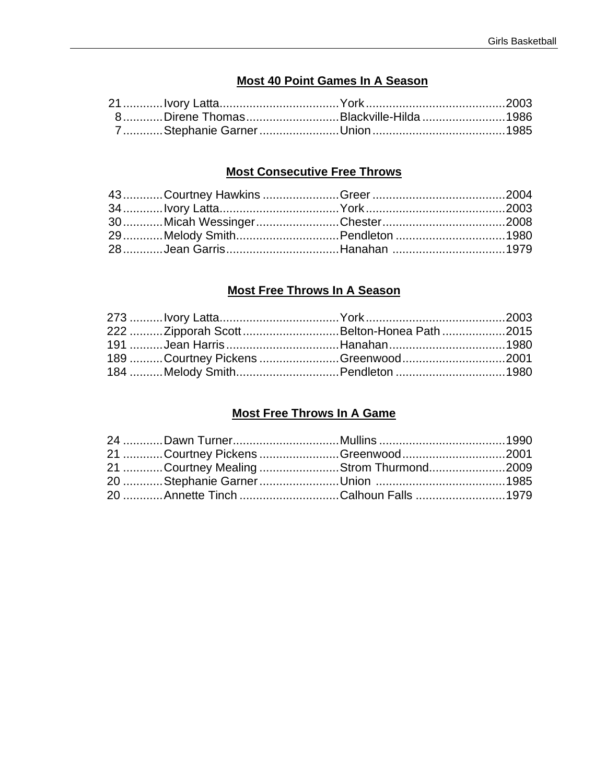## **Most 40 Point Games In A Season**

| 8Direne ThomasBlackville-Hilda1986 |  |
|------------------------------------|--|
|                                    |  |

## **Most Consecutive Free Throws**

|  | 29Melody SmithPendleton 1980 |  |
|--|------------------------------|--|
|  |                              |  |
|  |                              |  |

## **Most Free Throws In A Season**

| 222 Zipporah Scott Belton-Honea Path 2015 |  |
|-------------------------------------------|--|
|                                           |  |
| 189 Courtney Pickens Greenwood 2001       |  |
| 184 Melody SmithPendleton 1980            |  |

## **Most Free Throws In A Game**

|  | 21 Courtney Pickens Greenwood2001      |  |
|--|----------------------------------------|--|
|  | 21 Courtney Mealing Strom Thurmond2009 |  |
|  |                                        |  |
|  | 20 Annette Tinch Calhoun Falls 1979    |  |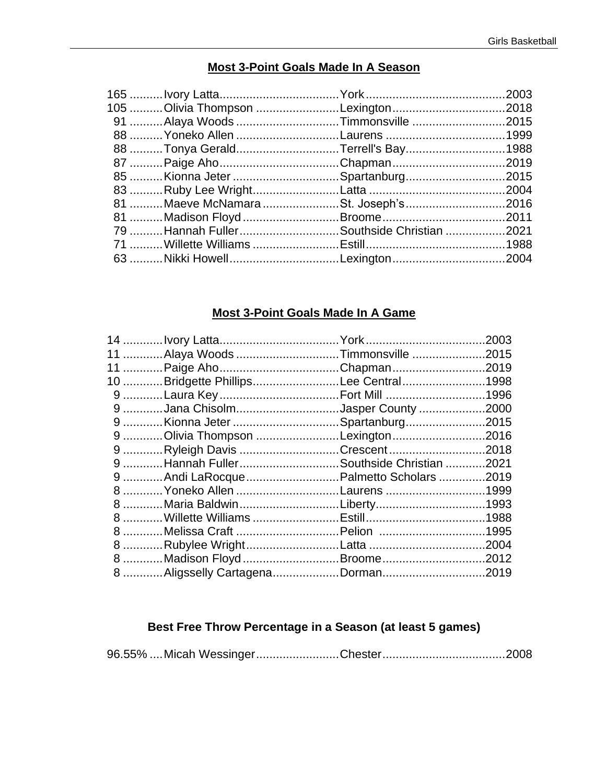## Most 3-Point Goals Made In A Season

| 105 Olivia Thompson Lexington 2018       |  |
|------------------------------------------|--|
| 91 Alaya Woods Timmonsville 2015         |  |
|                                          |  |
| 88 Tonya GeraldTerrell's Bay1988         |  |
|                                          |  |
| 85 Kionna Jeter Spartanburg2015          |  |
|                                          |  |
| 81 Maeve McNamara St. Joseph's 2016      |  |
|                                          |  |
| 79 Hannah FullerSouthside Christian 2021 |  |
|                                          |  |
|                                          |  |
|                                          |  |

## **Most 3-Point Goals Made In A Game**

| 11 Alaya Woods Timmonsville 2015         |                                                                      |
|------------------------------------------|----------------------------------------------------------------------|
|                                          |                                                                      |
| 10 Bridgette PhillipsLee Central1998     |                                                                      |
|                                          |                                                                      |
| 9 Jana ChisolmJasper County 2000         |                                                                      |
| 9 Kionna Jeter Spartanburg2015           |                                                                      |
| 9 Olivia Thompson Lexington 2016         |                                                                      |
| 9 Ryleigh Davis Crescent 2018            |                                                                      |
| 9 Hannah Fuller Southside Christian 2021 |                                                                      |
|                                          |                                                                      |
| 8  Yoneko Allen Laurens 1999             |                                                                      |
|                                          |                                                                      |
|                                          |                                                                      |
| 8 Melissa Craft Pelion 1995              |                                                                      |
|                                          |                                                                      |
|                                          |                                                                      |
| 8 Aligsselly CartagenaDorman2019         |                                                                      |
|                                          | 9 Andi LaRocque Palmetto Scholars 2019<br>8 Madison Floyd Broome2012 |

## Best Free Throw Percentage in a Season (at least 5 games)